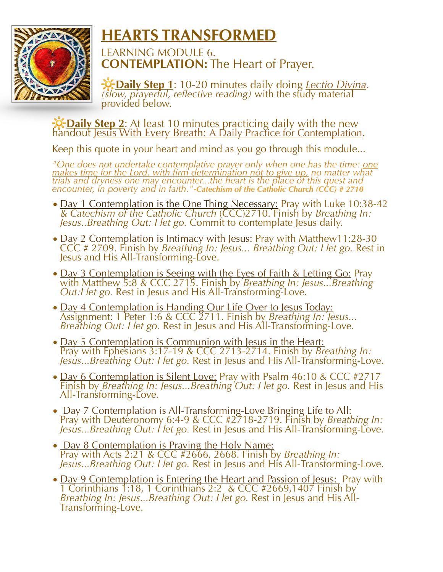

## **HEARTS TRANSFORMED**

LEARNING MODULE 6. **CONTEMPLATION:** The Heart of Prayer.

**Daily Step <sup>1</sup>**: 10-20 minutes daily doing *Lectio Divina. (slow, prayerful, reflective reading)* with the study material provided below.

*D*: Daily Step 2: At least 10 minutes practicing daily with the new handout Jesus With Every Breath: A Daily Practice for Contemplation.

Keep this quote in your heart and mind as you go through this module...

*"One does not undertake contemplative prayer only when one has the time: one makes time for the Lord, with firm determination not to give up, no matter what trials and dryness one may encounter...the heart is the place of this quest and encounter, in poverty and in faith."-Catechism of the Catholic Church (CCC) # 2710*

- Day 1 Contemplation is the One Thing Necessary: Pray with Luke 10:38-42 & *Catechism of the Catholic Church* (CCC)2710. Finish by *Breathing In: Jesus..Breathing Out: I let go.* Commit to contemplate Jesus daily.
- Day 2 Contemplation is Intimacy with Jesus: Pray with Matthew11:28-30 CCC # 2709. Finish by *Breathing In: Jesus... Breathing Out: I let go.* Rest in Jesus and His All-Transforming-Love.
- Day 3 Contemplation is Seeing with the Eyes of Faith & Letting Go: Pray with Matthew 5:8 & CCC 2715. Finish by *Breathing In: Jesus...Breathing Out:I let go.* Rest in Jesus and His All-Transforming-Love.
- Day 4 Contemplation is Handing Our Life Over to Jesus Today: Assignment: 1 Peter 1:6 & CCC 2711. Finish by *Breathing In: Jesus... Breathing Out: I let go.* Rest in Jesus and His All-Transforming-Love.
- Day 5 Contemplation is Communion with Jesus in the Heart: Pray with Ephesians 3:17-19 & CCC 2713-2714. Finish by *Breathing In: Jesus...Breathing Out: I let go.* Rest in Jesus and His All-Transforming-Love.
- Day 6 Contemplation is Silent Love: Pray with Psalm 46:10 & CCC #2717 Finish by *Breathing In: Jesus...Breathing Out: I let go.* Rest in Jesus and His All-Transforming-Love.
- Day 7 Contemplation is All-Transforming-Love Bringing Life to All: Pray with Deuteronomy 6:4-9 & CCC #2718-2719. Finish by *Breathing In: Jesus...Breathing Out: I let go.* Rest in Jesus and His All-Transforming-Love.
- Day 8 Contemplation is Praying the Holy Name: Pray with Acts 2:21 & CCC #2666, 2668. Finish by *Breathing In: Jesus...Breathing Out: I let go.* Rest in Jesus and His All-Transforming-Love.
- Day 9 Contemplation is Entering the Heart and Passion of Jesus: Pray with 1 Corinthians 1:18, 1 Corinthians 2:2 & CCC #2669,1407 Finish by *Breathing In: Jesus...Breathing Out: I let go.* Rest in Jesus and His All-Transforming-Love.